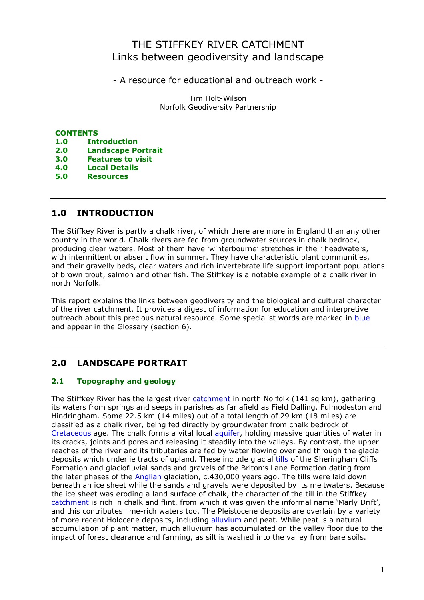# THE STIFFKEY RIVER CATCHMENT Links between geodiversity and landscape

- A resource for educational and outreach work -

Tim Holt-Wilson Norfolk Geodiversity Partnership

# **CONTENTS**

- 1.0 Introduction
- 2.0 Landscape Portrait
- 3.0 Features to visit
- 4.0 Local Details
- 5.0 Resources

# 1.0 INTRODUCTION

The Stiffkey River is partly a chalk river, of which there are more in England than any other country in the world. Chalk rivers are fed from groundwater sources in chalk bedrock, producing clear waters. Most of them have 'winterbourne' stretches in their headwaters, with intermittent or absent flow in summer. They have characteristic plant communities, and their gravelly beds, clear waters and rich invertebrate life support important populations of brown trout, salmon and other fish. The Stiffkey is a notable example of a chalk river in north Norfolk.

This report explains the links between geodiversity and the biological and cultural character of the river catchment. It provides a digest of information for education and interpretive outreach about this precious natural resource. Some specialist words are marked in blue and appear in the Glossary (section 6).

# 2.0 LANDSCAPE PORTRAIT

# 2.1 Topography and geology

The Stiffkey River has the largest river catchment in north Norfolk (141 sq km), gathering its waters from springs and seeps in parishes as far afield as Field Dalling, Fulmodeston and Hindringham. Some 22.5 km (14 miles) out of a total length of 29 km (18 miles) are classified as a chalk river, being fed directly by groundwater from chalk bedrock of Cretaceous age. The chalk forms a vital local aquifer, holding massive quantities of water in its cracks, joints and pores and releasing it steadily into the valleys. By contrast, the upper reaches of the river and its tributaries are fed by water flowing over and through the glacial deposits which underlie tracts of upland. These include glacial tills of the Sheringham Cliffs Formation and glaciofluvial sands and gravels of the Briton's Lane Formation dating from the later phases of the Anglian glaciation, c.430,000 years ago. The tills were laid down beneath an ice sheet while the sands and gravels were deposited by its meltwaters. Because the ice sheet was eroding a land surface of chalk, the character of the till in the Stiffkey catchment is rich in chalk and flint, from which it was given the informal name 'Marly Drift', and this contributes lime-rich waters too. The Pleistocene deposits are overlain by a variety of more recent Holocene deposits, including alluvium and peat. While peat is a natural accumulation of plant matter, much alluvium has accumulated on the valley floor due to the impact of forest clearance and farming, as silt is washed into the valley from bare soils.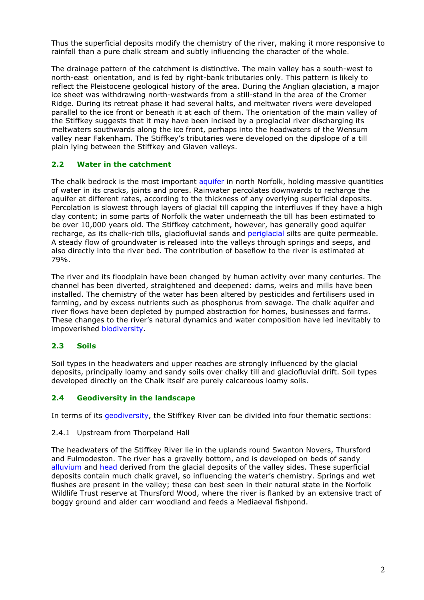Thus the superficial deposits modify the chemistry of the river, making it more responsive to rainfall than a pure chalk stream and subtly influencing the character of the whole.

The drainage pattern of the catchment is distinctive. The main valley has a south-west to north-east orientation, and is fed by right-bank tributaries only. This pattern is likely to reflect the Pleistocene geological history of the area. During the Anglian glaciation, a major ice sheet was withdrawing north-westwards from a still-stand in the area of the Cromer Ridge. During its retreat phase it had several halts, and meltwater rivers were developed parallel to the ice front or beneath it at each of them. The orientation of the main valley of the Stiffkey suggests that it may have been incised by a proglacial river discharging its meltwaters southwards along the ice front, perhaps into the headwaters of the Wensum valley near Fakenham. The Stiffkey's tributaries were developed on the dipslope of a till plain lying between the Stiffkey and Glaven valleys.

# 2.2 Water in the catchment

The chalk bedrock is the most important aquifer in north Norfolk, holding massive quantities of water in its cracks, joints and pores. Rainwater percolates downwards to recharge the aquifer at different rates, according to the thickness of any overlying superficial deposits. Percolation is slowest through layers of glacial till capping the interfluves if they have a high clay content; in some parts of Norfolk the water underneath the till has been estimated to be over 10,000 years old. The Stiffkey catchment, however, has generally good aquifer recharge, as its chalk-rich tills, glaciofluvial sands and periglacial silts are quite permeable. A steady flow of groundwater is released into the valleys through springs and seeps, and also directly into the river bed. The contribution of baseflow to the river is estimated at 79%.

The river and its floodplain have been changed by human activity over many centuries. The channel has been diverted, straightened and deepened: dams, weirs and mills have been installed. The chemistry of the water has been altered by pesticides and fertilisers used in farming, and by excess nutrients such as phosphorus from sewage. The chalk aquifer and river flows have been depleted by pumped abstraction for homes, businesses and farms. These changes to the river's natural dynamics and water composition have led inevitably to impoverished biodiversity.

# 2.3 Soils

Soil types in the headwaters and upper reaches are strongly influenced by the glacial deposits, principally loamy and sandy soils over chalky till and glaciofluvial drift. Soil types developed directly on the Chalk itself are purely calcareous loamy soils.

# 2.4 Geodiversity in the landscape

In terms of its geodiversity, the Stiffkey River can be divided into four thematic sections:

# 2.4.1 Upstream from Thorpeland Hall

The headwaters of the Stiffkey River lie in the uplands round Swanton Novers, Thursford and Fulmodeston. The river has a gravelly bottom, and is developed on beds of sandy alluvium and head derived from the glacial deposits of the valley sides. These superficial deposits contain much chalk gravel, so influencing the water's chemistry. Springs and wet flushes are present in the valley; these can best seen in their natural state in the Norfolk Wildlife Trust reserve at Thursford Wood, where the river is flanked by an extensive tract of boggy ground and alder carr woodland and feeds a Mediaeval fishpond.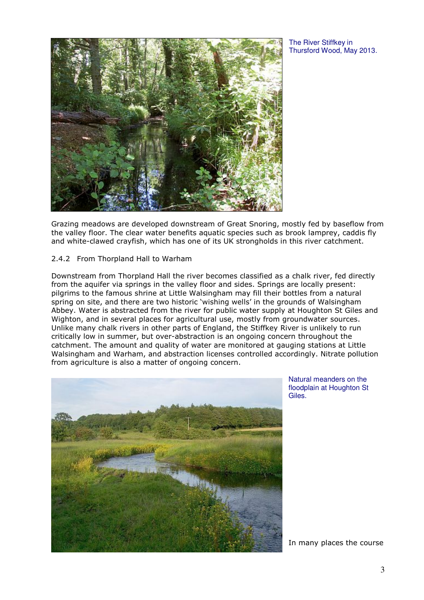The River Stiffkey in Thursford Wood, May 2013.



Grazing meadows are developed downstream of Great Snoring, mostly fed by baseflow from the valley floor. The clear water benefits aquatic species such as brook lamprey, caddis fly and white-clawed crayfish, which has one of its UK strongholds in this river catchment.

#### 2.4.2 From Thorpland Hall to Warham

Downstream from Thorpland Hall the river becomes classified as a chalk river, fed directly from the aquifer via springs in the valley floor and sides. Springs are locally present: pilgrims to the famous shrine at Little Walsingham may fill their bottles from a natural spring on site, and there are two historic 'wishing wells' in the grounds of Walsingham Abbey. Water is abstracted from the river for public water supply at Houghton St Giles and Wighton, and in several places for agricultural use, mostly from groundwater sources. Unlike many chalk rivers in other parts of England, the Stiffkey River is unlikely to run critically low in summer, but over-abstraction is an ongoing concern throughout the catchment. The amount and quality of water are monitored at gauging stations at Little Walsingham and Warham, and abstraction licenses controlled accordingly. Nitrate pollution from agriculture is also a matter of ongoing concern.



Natural meanders on the floodplain at Houghton St Giles.

In many places the course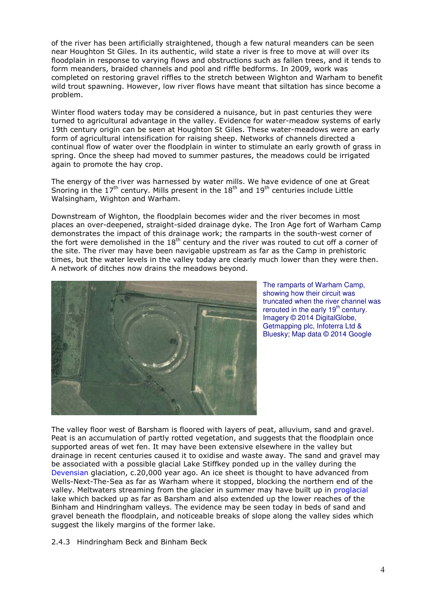of the river has been artificially straightened, though a few natural meanders can be seen near Houghton St Giles. In its authentic, wild state a river is free to move at will over its floodplain in response to varying flows and obstructions such as fallen trees, and it tends to form meanders, braided channels and pool and riffle bedforms. In 2009, work was completed on restoring gravel riffles to the stretch between Wighton and Warham to benefit wild trout spawning. However, low river flows have meant that siltation has since become a problem.

Winter flood waters today may be considered a nuisance, but in past centuries they were turned to agricultural advantage in the valley. Evidence for water-meadow systems of early 19th century origin can be seen at Houghton St Giles. These water-meadows were an early form of agricultural intensification for raising sheep. Networks of channels directed a continual flow of water over the floodplain in winter to stimulate an early growth of grass in spring. Once the sheep had moved to summer pastures, the meadows could be irrigated again to promote the hay crop.

The energy of the river was harnessed by water mills. We have evidence of one at Great Snoring in the  $17<sup>th</sup>$  century. Mills present in the  $18<sup>th</sup>$  and  $19<sup>th</sup>$  centuries include Little Walsingham, Wighton and Warham.

Downstream of Wighton, the floodplain becomes wider and the river becomes in most places an over-deepened, straight-sided drainage dyke. The Iron Age fort of Warham Camp demonstrates the impact of this drainage work; the ramparts in the south-west corner of the fort were demolished in the  $18<sup>th</sup>$  century and the river was routed to cut off a corner of the site. The river may have been navigable upstream as far as the Camp in prehistoric times, but the water levels in the valley today are clearly much lower than they were then. A network of ditches now drains the meadows beyond.



The ramparts of Warham Camp, showing how their circuit was truncated when the river channel was rerouted in the early  $19<sup>th</sup>$  century. Imagery © 2014 DigitalGlobe, Getmapping plc, Infoterra Ltd & Bluesky; Map data © 2014 Google

The valley floor west of Barsham is floored with layers of peat, alluvium, sand and gravel. Peat is an accumulation of partly rotted vegetation, and suggests that the floodplain once supported areas of wet fen. It may have been extensive elsewhere in the valley but drainage in recent centuries caused it to oxidise and waste away. The sand and gravel may be associated with a possible glacial Lake Stiffkey ponded up in the valley during the Devensian glaciation, c.20,000 year ago. An ice sheet is thought to have advanced from Wells-Next-The-Sea as far as Warham where it stopped, blocking the northern end of the valley. Meltwaters streaming from the glacier in summer may have built up in proglacial lake which backed up as far as Barsham and also extended up the lower reaches of the Binham and Hindringham valleys. The evidence may be seen today in beds of sand and gravel beneath the floodplain, and noticeable breaks of slope along the valley sides which suggest the likely margins of the former lake.

2.4.3 Hindringham Beck and Binham Beck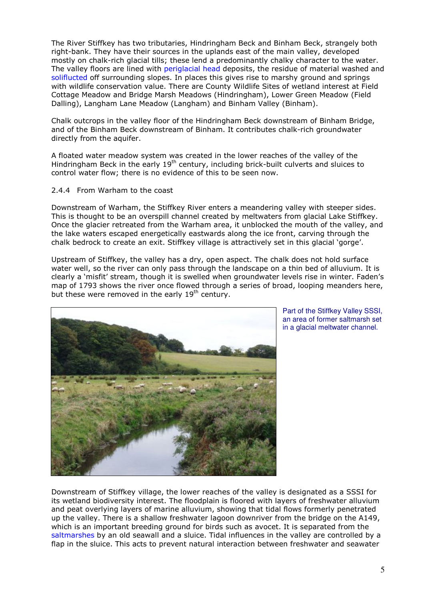The River Stiffkey has two tributaries, Hindringham Beck and Binham Beck, strangely both right-bank. They have their sources in the uplands east of the main valley, developed mostly on chalk-rich glacial tills; these lend a predominantly chalky character to the water. The valley floors are lined with periglacial head deposits, the residue of material washed and soliflucted off surrounding slopes. In places this gives rise to marshy ground and springs with wildlife conservation value. There are County Wildlife Sites of wetland interest at Field Cottage Meadow and Bridge Marsh Meadows (Hindringham), Lower Green Meadow (Field Dalling), Langham Lane Meadow (Langham) and Binham Valley (Binham).

Chalk outcrops in the valley floor of the Hindringham Beck downstream of Binham Bridge, and of the Binham Beck downstream of Binham. It contributes chalk-rich groundwater directly from the aquifer.

A floated water meadow system was created in the lower reaches of the valley of the Hindringham Beck in the early  $19<sup>th</sup>$  century, including brick-built culverts and sluices to control water flow; there is no evidence of this to be seen now.

#### 2.4.4 From Warham to the coast

Downstream of Warham, the Stiffkey River enters a meandering valley with steeper sides. This is thought to be an overspill channel created by meltwaters from glacial Lake Stiffkey. Once the glacier retreated from the Warham area, it unblocked the mouth of the valley, and the lake waters escaped energetically eastwards along the ice front, carving through the chalk bedrock to create an exit. Stiffkey village is attractively set in this glacial 'gorge'.

Upstream of Stiffkey, the valley has a dry, open aspect. The chalk does not hold surface water well, so the river can only pass through the landscape on a thin bed of alluvium. It is clearly a 'misfit' stream, though it is swelled when groundwater levels rise in winter. Faden's map of 1793 shows the river once flowed through a series of broad, looping meanders here, but these were removed in the early 19<sup>th</sup> century.



Part of the Stiffkey Valley SSSI, an area of former saltmarsh set in a glacial meltwater channel.

Downstream of Stiffkey village, the lower reaches of the valley is designated as a SSSI for its wetland biodiversity interest. The floodplain is floored with layers of freshwater alluvium and peat overlying layers of marine alluvium, showing that tidal flows formerly penetrated up the valley. There is a shallow freshwater lagoon downriver from the bridge on the A149, which is an important breeding ground for birds such as avocet. It is separated from the saltmarshes by an old seawall and a sluice. Tidal influences in the valley are controlled by a flap in the sluice. This acts to prevent natural interaction between freshwater and seawater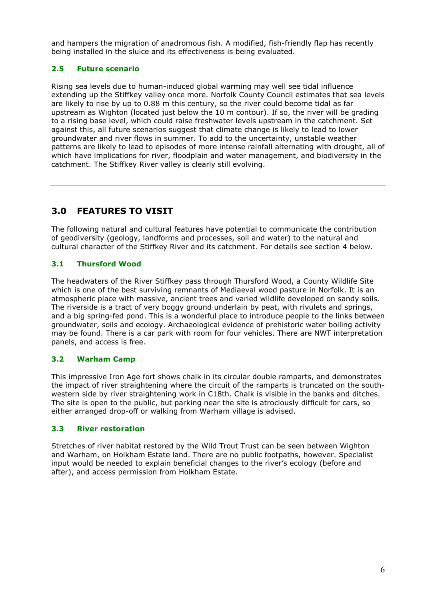and hampers the migration of anadromous fish. A modified, fish-friendly flap has recently being installed in the sluice and its effectiveness is being evaluated.

# 2.5 Future scenario

Rising sea levels due to human-induced global warming may well see tidal influence extending up the Stiffkey valley once more. Norfolk County Council estimates that sea levels are likely to rise by up to 0.88 m this century, so the river could become tidal as far upstream as Wighton (located just below the 10 m contour). If so, the river will be grading to a rising base level, which could raise freshwater levels upstream in the catchment. Set against this, all future scenarios suggest that climate change is likely to lead to lower groundwater and river flows in summer. To add to the uncertainty, unstable weather patterns are likely to lead to episodes of more intense rainfall alternating with drought, all of which have implications for river, floodplain and water management, and biodiversity in the catchment. The Stiffkey River valley is clearly still evolving.

# 3.0 FEATURES TO VISIT

The following natural and cultural features have potential to communicate the contribution of geodiversity (geology, landforms and processes, soil and water) to the natural and cultural character of the Stiffkey River and its catchment. For details see section 4 below.

# 3.1 Thursford Wood

The headwaters of the River Stiffkey pass through Thursford Wood, a County Wildlife Site which is one of the best surviving remnants of Mediaeval wood pasture in Norfolk. It is an atmospheric place with massive, ancient trees and varied wildlife developed on sandy soils. The riverside is a tract of very boggy ground underlain by peat, with rivulets and springs, and a big spring-fed pond. This is a wonderful place to introduce people to the links between groundwater, soils and ecology. Archaeological evidence of prehistoric water boiling activity may be found. There is a car park with room for four vehicles. There are NWT interpretation panels, and access is free.

# 3.2 Warham Camp

This impressive Iron Age fort shows chalk in its circular double ramparts, and demonstrates the impact of river straightening where the circuit of the ramparts is truncated on the southwestern side by river straightening work in C18th. Chalk is visible in the banks and ditches. The site is open to the public, but parking near the site is atrociously difficult for cars, so either arranged drop-off or walking from Warham village is advised.

# 3.3 River restoration

Stretches of river habitat restored by the Wild Trout Trust can be seen between Wighton and Warham, on Holkham Estate land. There are no public footpaths, however. Specialist input would be needed to explain beneficial changes to the river's ecology (before and after), and access permission from Holkham Estate.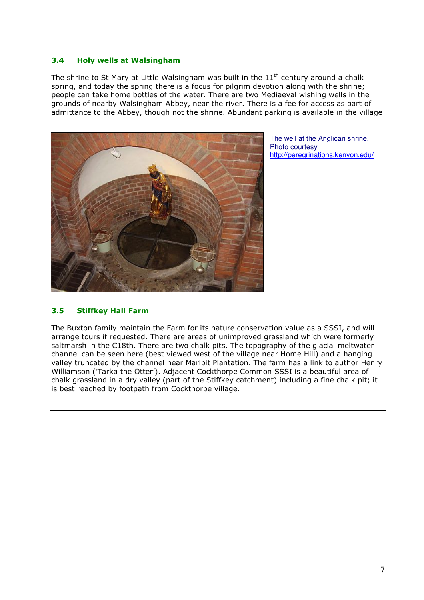#### 3.4 Holy wells at Walsingham

The shrine to St Mary at Little Walsingham was built in the  $11<sup>th</sup>$  century around a chalk spring, and today the spring there is a focus for pilgrim devotion along with the shrine; people can take home bottles of the water. There are two Mediaeval wishing wells in the grounds of nearby Walsingham Abbey, near the river. There is a fee for access as part of admittance to the Abbey, though not the shrine. Abundant parking is available in the village



The well at the Anglican shrine. Photo courtesy http://peregrinations.kenyon.edu/

# 3.5 Stiffkey Hall Farm

The Buxton family maintain the Farm for its nature conservation value as a SSSI, and will arrange tours if requested. There are areas of unimproved grassland which were formerly saltmarsh in the C18th. There are two chalk pits. The topography of the glacial meltwater channel can be seen here (best viewed west of the village near Home Hill) and a hanging valley truncated by the channel near Marlpit Plantation. The farm has a link to author Henry Williamson ('Tarka the Otter'). Adjacent Cockthorpe Common SSSI is a beautiful area of chalk grassland in a dry valley (part of the Stiffkey catchment) including a fine chalk pit; it is best reached by footpath from Cockthorpe village.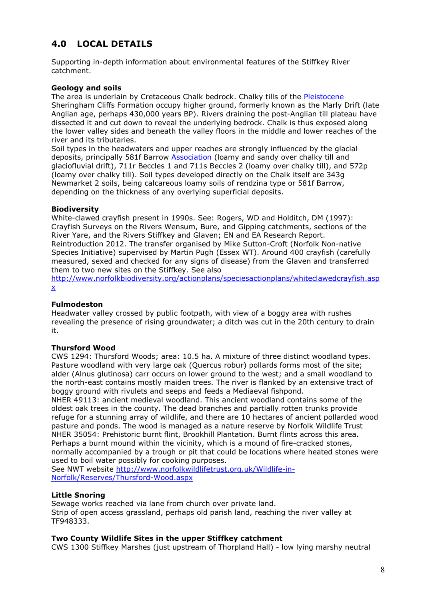# 4.0 LOCAL DETAILS

Supporting in-depth information about environmental features of the Stiffkey River catchment.

#### Geology and soils

The area is underlain by Cretaceous Chalk bedrock. Chalky tills of the Pleistocene Sheringham Cliffs Formation occupy higher ground, formerly known as the Marly Drift (late Anglian age, perhaps 430,000 years BP). Rivers draining the post-Anglian till plateau have dissected it and cut down to reveal the underlying bedrock. Chalk is thus exposed along the lower valley sides and beneath the valley floors in the middle and lower reaches of the river and its tributaries.

Soil types in the headwaters and upper reaches are strongly influenced by the glacial deposits, principally 581f Barrow Association (loamy and sandy over chalky till and glaciofluvial drift), 711r Beccles 1 and 711s Beccles 2 (loamy over chalky till), and 572p (loamy over chalky till). Soil types developed directly on the Chalk itself are 343g Newmarket 2 soils, being calcareous loamy soils of rendzina type or 581f Barrow, depending on the thickness of any overlying superficial deposits.

#### Biodiversity

White-clawed crayfish present in 1990s. See: Rogers, WD and Holditch, DM (1997): Crayfish Surveys on the Rivers Wensum, Bure, and Gipping catchments, sections of the River Yare, and the Rivers Stiffkey and Glaven; EN and EA Research Report. Reintroduction 2012. The transfer organised by Mike Sutton-Croft (Norfolk Non-native Species Initiative) supervised by Martin Pugh (Essex WT). Around 400 crayfish (carefully measured, sexed and checked for any signs of disease) from the Glaven and transferred them to two new sites on the Stiffkey. See also

http://www.norfolkbiodiversity.org/actionplans/speciesactionplans/whiteclawedcrayfish.asp x

#### Fulmodeston

Headwater valley crossed by public footpath, with view of a boggy area with rushes revealing the presence of rising groundwater; a ditch was cut in the 20th century to drain it.

#### Thursford Wood

CWS 1294: Thursford Woods; area: 10.5 ha. A mixture of three distinct woodland types. Pasture woodland with very large oak (Quercus robur) pollards forms most of the site; alder (Alnus glutinosa) carr occurs on lower ground to the west; and a small woodland to the north-east contains mostly maiden trees. The river is flanked by an extensive tract of boggy ground with rivulets and seeps and feeds a Mediaeval fishpond.

NHER 49113: ancient medieval woodland. This ancient woodland contains some of the oldest oak trees in the county. The dead branches and partially rotten trunks provide refuge for a stunning array of wildlife, and there are 10 hectares of ancient pollarded wood pasture and ponds. The wood is managed as a nature reserve by Norfolk Wildlife Trust NHER 35054: Prehistoric burnt flint, Brookhill Plantation. Burnt flints across this area. Perhaps a burnt mound within the vicinity, which is a mound of fire-cracked stones, normally accompanied by a trough or pit that could be locations where heated stones were used to boil water possibly for cooking purposes.

See NWT website http://www.norfolkwildlifetrust.org.uk/Wildlife-in-Norfolk/Reserves/Thursford-Wood.aspx

# Little Snoring

Sewage works reached via lane from church over private land. Strip of open access grassland, perhaps old parish land, reaching the river valley at TF948333.

#### Two County Wildlife Sites in the upper Stiffkey catchment

CWS 1300 Stiffkey Marshes (just upstream of Thorpland Hall) - low lying marshy neutral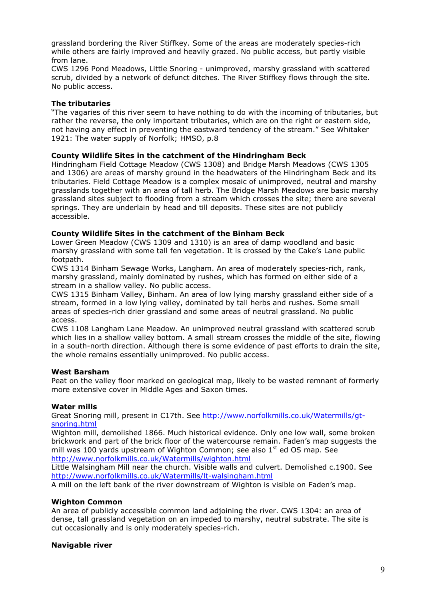grassland bordering the River Stiffkey. Some of the areas are moderately species-rich while others are fairly improved and heavily grazed. No public access, but partly visible from lane.

CWS 1296 Pond Meadows, Little Snoring - unimproved, marshy grassland with scattered scrub, divided by a network of defunct ditches. The River Stiffkey flows through the site. No public access.

#### The tributaries

"The vagaries of this river seem to have nothing to do with the incoming of tributaries, but rather the reverse, the only important tributaries, which are on the right or eastern side, not having any effect in preventing the eastward tendency of the stream." See Whitaker 1921: The water supply of Norfolk; HMSO, p.8

# County Wildlife Sites in the catchment of the Hindringham Beck

Hindringham Field Cottage Meadow (CWS 1308) and Bridge Marsh Meadows (CWS 1305 and 1306) are areas of marshy ground in the headwaters of the Hindringham Beck and its tributaries. Field Cottage Meadow is a complex mosaic of unimproved, neutral and marshy grasslands together with an area of tall herb. The Bridge Marsh Meadows are basic marshy grassland sites subject to flooding from a stream which crosses the site; there are several springs. They are underlain by head and till deposits. These sites are not publicly accessible.

#### County Wildlife Sites in the catchment of the Binham Beck

Lower Green Meadow (CWS 1309 and 1310) is an area of damp woodland and basic marshy grassland with some tall fen vegetation. It is crossed by the Cake's Lane public footpath.

CWS 1314 Binham Sewage Works, Langham. An area of moderately species-rich, rank, marshy grassland, mainly dominated by rushes, which has formed on either side of a stream in a shallow valley. No public access.

CWS 1315 Binham Valley, Binham. An area of low lying marshy grassland either side of a stream, formed in a low lying valley, dominated by tall herbs and rushes. Some small areas of species-rich drier grassland and some areas of neutral grassland. No public access.

CWS 1108 Langham Lane Meadow. An unimproved neutral grassland with scattered scrub which lies in a shallow valley bottom. A small stream crosses the middle of the site, flowing in a south-north direction. Although there is some evidence of past efforts to drain the site, the whole remains essentially unimproved. No public access.

#### West Barsham

Peat on the valley floor marked on geological map, likely to be wasted remnant of formerly more extensive cover in Middle Ages and Saxon times.

# Water mills

Great Snoring mill, present in C17th. See http://www.norfolkmills.co.uk/Watermills/gtsnoring.html

Wighton mill, demolished 1866. Much historical evidence. Only one low wall, some broken brickwork and part of the brick floor of the watercourse remain. Faden's map suggests the mill was 100 yards upstream of Wighton Common: see also  $1<sup>st</sup>$  ed OS map. See http://www.norfolkmills.co.uk/Watermills/wighton.html

Little Walsingham Mill near the church. Visible walls and culvert. Demolished c.1900. See http://www.norfolkmills.co.uk/Watermills/lt-walsingham.html

A mill on the left bank of the river downstream of Wighton is visible on Faden's map.

#### Wighton Common

An area of publicly accessible common land adjoining the river. CWS 1304: an area of dense, tall grassland vegetation on an impeded to marshy, neutral substrate. The site is cut occasionally and is only moderately species-rich.

#### Navigable river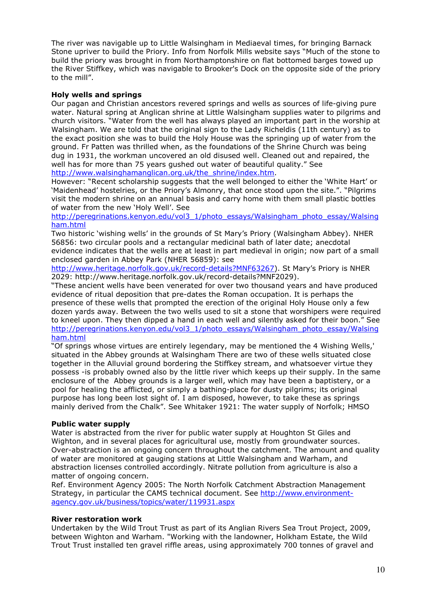The river was navigable up to Little Walsingham in Mediaeval times, for bringing Barnack Stone upriver to build the Priory. Info from Norfolk Mills website says "Much of the stone to build the priory was brought in from Northamptonshire on flat bottomed barges towed up the River Stiffkey, which was navigable to Brooker's Dock on the opposite side of the priory to the mill".

# Holy wells and springs

Our pagan and Christian ancestors revered springs and wells as sources of life-giving pure water. Natural spring at Anglican shrine at Little Walsingham supplies water to pilgrims and church visitors. "Water from the well has always played an important part in the worship at Walsingham. We are told that the original sign to the Lady Richeldis (11th century) as to the exact position she was to build the Holy House was the springing up of water from the ground. Fr Patten was thrilled when, as the foundations of the Shrine Church was being dug in 1931, the workman uncovered an old disused well. Cleaned out and repaired, the well has for more than 75 years gushed out water of beautiful quality." See http://www.walsinghamanglican.org.uk/the\_shrine/index.htm.

However: "Recent scholarship suggests that the well belonged to either the 'White Hart' or 'Maidenhead' hostelries, or the Priory's Almonry, that once stood upon the site.". "Pilgrims visit the modern shrine on an annual basis and carry home with them small plastic bottles of water from the new 'Holy Well'. See

http://peregrinations.kenyon.edu/vol3\_1/photo\_essays/Walsingham\_photo\_essay/Walsing ham.html

Two historic 'wishing wells' in the grounds of St Mary's Priory (Walsingham Abbey). NHER 56856: two circular pools and a rectangular medicinal bath of later date; anecdotal evidence indicates that the wells are at least in part medieval in origin; now part of a small enclosed garden in Abbey Park (NHER 56859): see

http://www.heritage.norfolk.gov.uk/record-details?MNF63267). St Mary's Priory is NHER 2029: http://www.heritage.norfolk.gov.uk/record-details?MNF2029).

"These ancient wells have been venerated for over two thousand years and have produced evidence of ritual deposition that pre-dates the Roman occupation. It is perhaps the presence of these wells that prompted the erection of the original Holy House only a few dozen yards away. Between the two wells used to sit a stone that worshipers were required to kneel upon. They then dipped a hand in each well and silently asked for their boon." See http://peregrinations.kenyon.edu/vol3\_1/photo\_essays/Walsingham\_photo\_essay/Walsing ham.html

"Of springs whose virtues are entirely legendary, may be mentioned the 4 Wishing Wells,' situated in the Abbey grounds at Walsingham There are two of these wells situated close together in the Alluvial ground bordering the Stiffkey stream, and whatsoever virtue they possess -is probably owned also by the little river which keeps up their supply. In the same enclosure of the Abbey grounds is a larger well, which may have been a baptistery, or a pool for healing the afflicted, or simply a bathing-place for dusty pilgrims; its original purpose has long been lost sight of. I am disposed, however, to take these as springs mainly derived from the Chalk". See Whitaker 1921: The water supply of Norfolk; HMSO

#### Public water supply

Water is abstracted from the river for public water supply at Houghton St Giles and Wighton, and in several places for agricultural use, mostly from groundwater sources. Over-abstraction is an ongoing concern throughout the catchment. The amount and quality of water are monitored at gauging stations at Little Walsingham and Warham, and abstraction licenses controlled accordingly. Nitrate pollution from agriculture is also a matter of ongoing concern.

Ref. Environment Agency 2005: The North Norfolk Catchment Abstraction Management Strategy, in particular the CAMS technical document. See http://www.environmentagency.gov.uk/business/topics/water/119931.aspx

#### River restoration work

Undertaken by the Wild Trout Trust as part of its Anglian Rivers Sea Trout Project, 2009, between Wighton and Warham. "Working with the landowner, Holkham Estate, the Wild Trout Trust installed ten gravel riffle areas, using approximately 700 tonnes of gravel and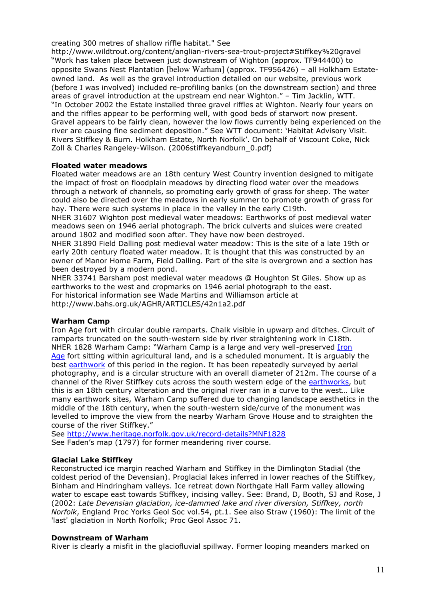creating 300 metres of shallow riffle habitat." See

http://www.wildtrout.org/content/anglian-rivers-sea-trout-project#Stiffkey%20gravel "Work has taken place between just downstream of Wighton (approx. TF944400) to opposite Swans Nest Plantation [below Warham] (approx. TF956426) – all Holkham Estateowned land. As well as the gravel introduction detailed on our website, previous work (before I was involved) included re-profiling banks (on the downstream section) and three areas of gravel introduction at the upstream end near Wighton." – Tim Jacklin, WTT. "In October 2002 the Estate installed three gravel riffles at Wighton. Nearly four years on and the riffles appear to be performing well, with good beds of starwort now present. Gravel appears to be fairly clean, however the low flows currently being experienced on the river are causing fine sediment deposition." See WTT document: 'Habitat Advisory Visit. Rivers Stiffkey & Burn. Holkham Estate, North Norfolk'. On behalf of Viscount Coke, Nick Zoll & Charles Rangeley-Wilson. (2006stiffkeyandburn\_0.pdf)

#### Floated water meadows

Floated water meadows are an 18th century West Country invention designed to mitigate the impact of frost on floodplain meadows by directing flood water over the meadows through a network of channels, so promoting early growth of grass for sheep. The water could also be directed over the meadows in early summer to promote growth of grass for hay. There were such systems in place in the valley in the early C19th.

NHER 31607 Wighton post medieval water meadows: Earthworks of post medieval water meadows seen on 1946 aerial photograph. The brick culverts and sluices were created around 1802 and modified soon after. They have now been destroyed.

NHER 31890 Field Dalling post medieval water meadow: This is the site of a late 19th or early 20th century floated water meadow. It is thought that this was constructed by an owner of Manor Home Farm, Field Dalling. Part of the site is overgrown and a section has been destroyed by a modern pond.

NHER 33741 Barsham post medieval water meadows @ Houghton St Giles. Show up as earthworks to the west and cropmarks on 1946 aerial photograph to the east. For historical information see Wade Martins and Williamson article at http://www.bahs.org.uk/AGHR/ARTICLES/42n1a2.pdf

#### Warham Camp

Iron Age fort with circular double ramparts. Chalk visible in upwarp and ditches. Circuit of ramparts truncated on the south-western side by river straightening work in C18th. NHER 1828 Warham Camp: "Warham Camp is a large and very well-preserved Iron Age fort sitting within agricultural land, and is a scheduled monument. It is arguably the best earthwork of this period in the region. It has been repeatedly surveyed by aerial photography, and is a circular structure with an overall diameter of 212m. The course of a channel of the River Stiffkey cuts across the south western edge of the earthworks, but this is an 18th century alteration and the original river ran in a curve to the west… Like many earthwork sites, Warham Camp suffered due to changing landscape aesthetics in the middle of the 18th century, when the south-western side/curve of the monument was levelled to improve the view from the nearby Warham Grove House and to straighten the course of the river Stiffkey."

See http://www.heritage.norfolk.gov.uk/record-details?MNF1828 See Faden's map (1797) for former meandering river course.

# Glacial Lake Stiffkey

Reconstructed ice margin reached Warham and Stiffkey in the Dimlington Stadial (the coldest period of the Devensian). Proglacial lakes inferred in lower reaches of the Stiffkey, Binham and Hindringham valleys. Ice retreat down Northgate Hall Farm valley allowing water to escape east towards Stiffkey, incising valley. See: Brand, D, Booth, SJ and Rose, J (2002: Late Devensian glaciation, ice-dammed lake and river diversion, Stiffkey, north Norfolk, England Proc Yorks Geol Soc vol.54, pt.1. See also Straw (1960): The limit of the 'last' glaciation in North Norfolk; Proc Geol Assoc 71.

#### Downstream of Warham

River is clearly a misfit in the glaciofluvial spillway. Former looping meanders marked on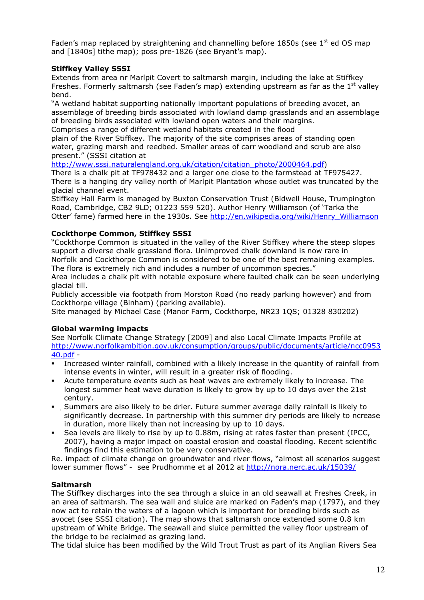Faden's map replaced by straightening and channelling before 1850s (see  $1<sup>st</sup>$  ed OS map and [1840s] tithe map); poss pre-1826 (see Bryant's map).

# Stiffkey Valley SSSI

Extends from area nr Marlpit Covert to saltmarsh margin, including the lake at Stiffkey Freshes. Formerly saltmarsh (see Faden's map) extending upstream as far as the  $1<sup>st</sup>$  valley bend.

"A wetland habitat supporting nationally important populations of breeding avocet, an assemblage of breeding birds associated with lowland damp grasslands and an assemblage of breeding birds associated with lowland open waters and their margins.

Comprises a range of different wetland habitats created in the flood

plain of the River Stiffkey. The majority of the site comprises areas of standing open water, grazing marsh and reedbed. Smaller areas of carr woodland and scrub are also present." (SSSI citation at

http://www.sssi.naturalengland.org.uk/citation/citation\_photo/2000464.pdf)

There is a chalk pit at TF978432 and a larger one close to the farmstead at TF975427. There is a hanging dry valley north of Marlpit Plantation whose outlet was truncated by the glacial channel event.

Stiffkey Hall Farm is managed by Buxton Conservation Trust (Bidwell House, Trumpington Road, Cambridge, CB2 9LD; 01223 559 520). Author Henry Williamson (of 'Tarka the Otter' fame) farmed here in the 1930s. See http://en.wikipedia.org/wiki/Henry\_Williamson

# Cockthorpe Common, Stiffkey SSSI

"Cockthorpe Common is situated in the valley of the River Stiffkey where the steep slopes support a diverse chalk grassland flora. Unimproved chalk downland is now rare in Norfolk and Cockthorpe Common is considered to be one of the best remaining examples. The flora is extremely rich and includes a number of uncommon species."

Area includes a chalk pit with notable exposure where faulted chalk can be seen underlying glacial till.

Publicly accessible via footpath from Morston Road (no ready parking however) and from Cockthorpe village (Binham) (parking available).

Site managed by Michael Case (Manor Farm, Cockthorpe, NR23 1QS; 01328 830202)

# Global warming impacts

See Norfolk Climate Change Strategy [2009] and also Local Climate Impacts Profile at http://www.norfolkambition.gov.uk/consumption/groups/public/documents/article/ncc0953 40.pdf -

- Increased winter rainfall, combined with a likely increase in the quantity of rainfall from intense events in winter, will result in a greater risk of flooding.
- Acute temperature events such as heat waves are extremely likely to increase. The longest summer heat wave duration is likely to grow by up to 10 days over the 21st century.
- Summers are also likely to be drier. Future summer average daily rainfall is likely to significantly decrease. In partnership with this summer dry periods are likely to ncrease in duration, more likely than not increasing by up to 10 days.
- Sea levels are likely to rise by up to 0.88m, rising at rates faster than present (IPCC, 2007), having a major impact on coastal erosion and coastal flooding. Recent scientific findings find this estimation to be very conservative.

Re. impact of climate change on groundwater and river flows, "almost all scenarios suggest lower summer flows" - see Prudhomme et al 2012 at http://nora.nerc.ac.uk/15039/

# Saltmarsh

The Stiffkey discharges into the sea through a sluice in an old seawall at Freshes Creek, in an area of saltmarsh. The sea wall and sluice are marked on Faden's map (1797), and they now act to retain the waters of a lagoon which is important for breeding birds such as avocet (see SSSI citation). The map shows that saltmarsh once extended some 0.8 km upstream of White Bridge. The seawall and sluice permitted the valley floor upstream of the bridge to be reclaimed as grazing land.

The tidal sluice has been modified by the Wild Trout Trust as part of its Anglian Rivers Sea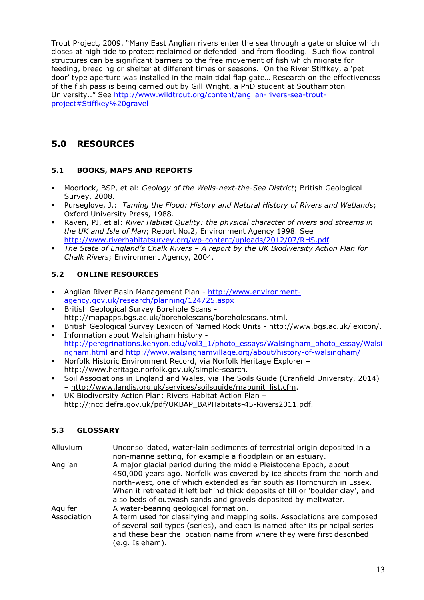Trout Project, 2009. "Many East Anglian rivers enter the sea through a gate or sluice which closes at high tide to protect reclaimed or defended land from flooding. Such flow control structures can be significant barriers to the free movement of fish which migrate for feeding, breeding or shelter at different times or seasons. On the River Stiffkey, a 'pet door' type aperture was installed in the main tidal flap gate… Research on the effectiveness of the fish pass is being carried out by Gill Wright, a PhD student at Southampton University.." See http://www.wildtrout.org/content/anglian-rivers-sea-troutproject#Stiffkey%20gravel

# 5.0 RESOURCES

# 5.1 BOOKS, MAPS AND REPORTS

- **Moorlock, BSP, et al: Geology of the Wells-next-the-Sea District: British Geological** Survey, 2008.
- Purseglove, J.: Taming the Flood: History and Natural History of Rivers and Wetlands; Oxford University Press, 1988.
- Raven, PJ, et al: River Habitat Quality: the physical character of rivers and streams in the UK and Isle of Man; Report No.2, Environment Agency 1998. See http://www.riverhabitatsurvey.org/wp-content/uploads/2012/07/RHS.pdf
- The State of England's Chalk Rivers A report by the UK Biodiversity Action Plan for Chalk Rivers; Environment Agency, 2004.

# 5.2 ONLINE RESOURCES

- Anglian River Basin Management Plan http://www.environmentagency.gov.uk/research/planning/124725.aspx
- British Geological Survey Borehole Scans http://mapapps.bgs.ac.uk/boreholescans/boreholescans.html.
- British Geological Survey Lexicon of Named Rock Units http://www.bgs.ac.uk/lexicon/.
- Information about Walsingham history http://peregrinations.kenyon.edu/vol3\_1/photo\_essays/Walsingham\_photo\_essay/Walsi ngham.html and http://www.walsinghamvillage.org/about/history-of-walsingham/
- Norfolk Historic Environment Record, via Norfolk Heritage Explorer http://www.heritage.norfolk.gov.uk/simple-search.
- Soil Associations in England and Wales, via The Soils Guide (Cranfield University, 2014) – http://www.landis.org.uk/services/soilsguide/mapunit\_list.cfm.
- UK Biodiversity Action Plan: Rivers Habitat Action Plan http://jncc.defra.gov.uk/pdf/UKBAP\_BAPHabitats-45-Rivers2011.pdf.

# 5.3 GLOSSARY

| Alluvium    | Unconsolidated, water-lain sediments of terrestrial origin deposited in a<br>non-marine setting, for example a floodplain or an estuary.                                                                                                                                                                                                                                   |
|-------------|----------------------------------------------------------------------------------------------------------------------------------------------------------------------------------------------------------------------------------------------------------------------------------------------------------------------------------------------------------------------------|
| Anglian     | A major glacial period during the middle Pleistocene Epoch, about<br>450,000 years ago. Norfolk was covered by ice sheets from the north and<br>north-west, one of which extended as far south as Hornchurch in Essex.<br>When it retreated it left behind thick deposits of till or 'boulder clay', and<br>also beds of outwash sands and gravels deposited by meltwater. |
| Aquifer     | A water-bearing geological formation.                                                                                                                                                                                                                                                                                                                                      |
| Association | A term used for classifying and mapping soils. Associations are composed<br>of several soil types (series), and each is named after its principal series<br>and these bear the location name from where they were first described<br>(e.g. Isleham).                                                                                                                       |